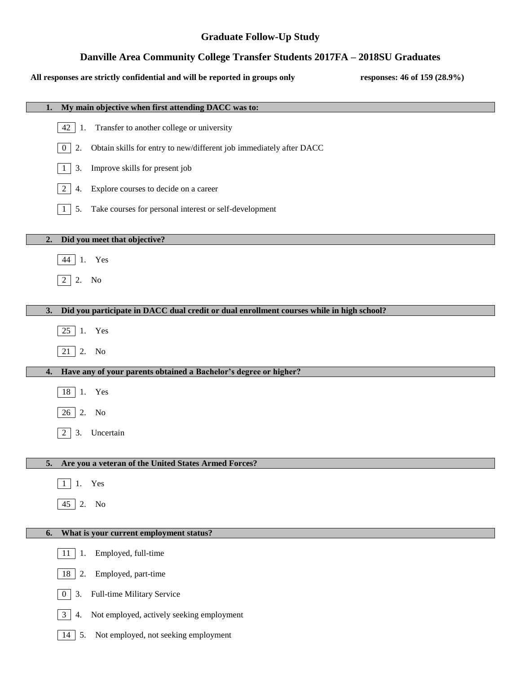## **Graduate Follow-Up Study**

# **Danville Area Community College Transfer Students 2017FA – 2018SU Graduates**

#### **All responses are strictly confidential and will be reported in groups only responses: 46 of 159 (28.9%)**

| My main objective when first attending DACC was to:                                            |
|------------------------------------------------------------------------------------------------|
| Transfer to another college or university<br>42<br>1.                                          |
| Obtain skills for entry to new/different job immediately after DACC<br>2.<br>$\mathbf{0}$      |
| Improve skills for present job<br>3.<br>1                                                      |
| Explore courses to decide on a career<br>$\overline{2}$<br>4.                                  |
| Take courses for personal interest or self-development<br>5.<br>1                              |
| Did you meet that objective?<br>2.                                                             |
| 1. Yes<br>44                                                                                   |
| $2 \mid 2$ . No                                                                                |
|                                                                                                |
| Did you participate in DACC dual credit or dual enrollment courses while in high school?<br>3. |
| 25 1. Yes                                                                                      |
| $\overline{21}$ 2. No                                                                          |
| Have any of your parents obtained a Bachelor's degree or higher?<br>4.                         |
|                                                                                                |
| 18 1. Yes                                                                                      |
| 26 2. No                                                                                       |
| Uncertain<br>3.<br>2                                                                           |
|                                                                                                |
| Are you a veteran of the United States Armed Forces?<br>5.                                     |
| Yes                                                                                            |
| $45$ 2.<br>N <sub>o</sub>                                                                      |
|                                                                                                |
| What is your current employment status?<br>6.                                                  |
| Employed, full-time<br>1.<br>11                                                                |
| Employed, part-time<br>18<br>2.                                                                |
| Full-time Military Service<br>3.<br>$\overline{0}$                                             |
| Not employed, actively seeking employment<br>3 <sup>1</sup><br>4.                              |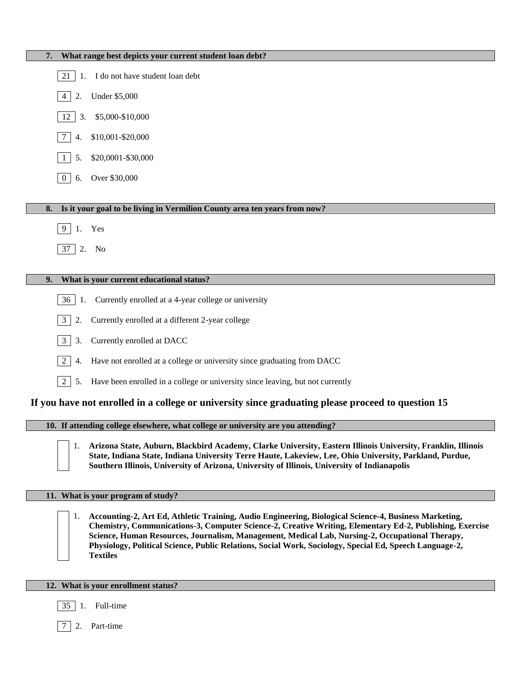| What range best depicts your current student loan debt?<br>7.                                                                                                                                                                                                                                                                 |
|-------------------------------------------------------------------------------------------------------------------------------------------------------------------------------------------------------------------------------------------------------------------------------------------------------------------------------|
| I do not have student loan debt<br>21<br>1.                                                                                                                                                                                                                                                                                   |
| <b>Under \$5,000</b><br>2.<br>4                                                                                                                                                                                                                                                                                               |
| \$5,000-\$10,000<br>12<br>3.                                                                                                                                                                                                                                                                                                  |
| \$10,001-\$20,000<br>7<br>4.                                                                                                                                                                                                                                                                                                  |
| \$20,0001-\$30,000<br>5.                                                                                                                                                                                                                                                                                                      |
| Over \$30,000<br>6.<br>$\mathbf{0}$                                                                                                                                                                                                                                                                                           |
|                                                                                                                                                                                                                                                                                                                               |
| Is it your goal to be living in Vermilion County area ten years from now?<br>8.                                                                                                                                                                                                                                               |
| 9<br>Yes<br>1.                                                                                                                                                                                                                                                                                                                |
| 37<br>2.<br>No                                                                                                                                                                                                                                                                                                                |
|                                                                                                                                                                                                                                                                                                                               |
| What is your current educational status?<br>9.                                                                                                                                                                                                                                                                                |
| Currently enrolled at a 4-year college or university<br>36<br>1.                                                                                                                                                                                                                                                              |
| $\mathfrak{Z}$<br>Currently enrolled at a different 2-year college<br>2.                                                                                                                                                                                                                                                      |
| $\mathfrak{Z}$<br>Currently enrolled at DACC<br>3.                                                                                                                                                                                                                                                                            |
| $\overline{2}$<br>Have not enrolled at a college or university since graduating from DACC<br>4.                                                                                                                                                                                                                               |
| $\overline{2}$<br>Have been enrolled in a college or university since leaving, but not currently<br>5.                                                                                                                                                                                                                        |
| If you have not enrolled in a college or university since graduating please proceed to question 15                                                                                                                                                                                                                            |
| 10. If attending college elsewhere, what college or university are you attending?                                                                                                                                                                                                                                             |
| Arizona State, Auburn, Blackbird Academy, Clarke University, Eastern Illinois University, Franklin, Illinois<br>1.<br>State, Indiana State, Indiana University Terre Haute, Lakeview, Lee, Ohio University, Parkland, Purdue,<br>Southern Illinois, University of Arizona, University of Illinois, University of Indianapolis |
| 11. What is your program of study?                                                                                                                                                                                                                                                                                            |
|                                                                                                                                                                                                                                                                                                                               |

1. **Accounting-2, Art Ed, Athletic Training, Audio Engineering, Biological Science-4, Business Marketing, Chemistry, Communications-3, Computer Science-2, Creative Writing, Elementary Ed-2, Publishing, Exercise Science, Human Resources, Journalism, Management, Medical Lab, Nursing-2, Occupational Therapy, Physiology, Political Science, Public Relations, Social Work, Sociology, Special Ed, Speech Language-2, Textiles**

#### **12. What is your enrollment status?**

- 35 1. Full-time
- 7 2. Part-time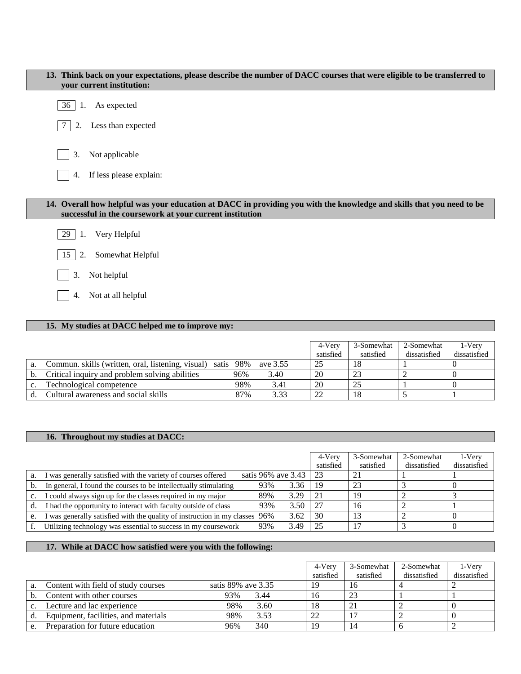| 13. Think back on your expectations, please describe the number of DACC courses that were eligible to be transferred to<br>your current institution:                              |
|-----------------------------------------------------------------------------------------------------------------------------------------------------------------------------------|
| As expected<br>36<br>1.                                                                                                                                                           |
| Less than expected<br>2.                                                                                                                                                          |
| Not applicable<br>3.                                                                                                                                                              |
| If less please explain:<br>4.                                                                                                                                                     |
|                                                                                                                                                                                   |
| 14. Overall how helpful was your education at DACC in providing you with the knowledge and skills that you need to be<br>successful in the coursework at your current institution |
| 29<br>Very Helpful<br>-1.                                                                                                                                                         |
| Somewhat Helpful<br>15<br>2.                                                                                                                                                      |
| Not helpful<br>3.                                                                                                                                                                 |
| Not at all helpful<br>4.                                                                                                                                                          |

## **15. My studies at DACC helped me to improve my:**

|                                                                      |     |      | 4-Verv    | 3-Somewhat | 2-Somewhat   | 1-Very       |
|----------------------------------------------------------------------|-----|------|-----------|------------|--------------|--------------|
|                                                                      |     |      | satisfied | satisfied  | dissatisfied | dissatisfied |
| Commun. skills (written, oral, listening, visual) satis 98% ave 3.55 |     |      | -25       |            |              |              |
| Critical inquiry and problem solving abilities                       | 96% | 3.40 | 20        |            |              |              |
| Technological competence                                             | 98% | 3.41 | 20        |            |              |              |
| Cultural awareness and social skills                                 | 87% | 3.33 | 22        |            |              |              |

## **16. Throughout my studies at DACC:**

I

|    |                                                                             |                    |      | 4-Very    | 3-Somewhat | 2-Somewhat   | 1-Very       |
|----|-----------------------------------------------------------------------------|--------------------|------|-----------|------------|--------------|--------------|
|    |                                                                             |                    |      | satisfied | satisfied  | dissatisfied | dissatisfied |
| a. | I was generally satisfied with the variety of courses offered               | satis 96% ave 3.43 |      | -23       | -21        |              |              |
|    | In general, I found the courses to be intellectually stimulating            | 93%                | 3.36 | -19       | -23        |              | 0            |
|    | I could always sign up for the classes required in my major                 | 89%                | 3.29 | 21        | 19         |              |              |
|    | I had the opportunity to interact with faculty outside of class             | 93%                | 3.50 | 27        | 16         |              |              |
| e. | I was generally satisfied with the quality of instruction in my classes 96% |                    | 3.62 | 30        | 13         |              | 0            |
|    | Utilizing technology was essential to success in my coursework              | 93%                | 3.49 | 25        |            |              | $\theta$     |

#### **17. While at DACC how satisfied were you with the following:**

|                                      |                    | 4-Very<br>satisfied | 3-Somewhat<br>satisfied | 2-Somewhat<br>dissatisfied | 1-Very<br>dissatisfied |
|--------------------------------------|--------------------|---------------------|-------------------------|----------------------------|------------------------|
| Content with field of study courses  | satis 89% ave 3.35 | 19                  | 16                      |                            |                        |
| Content with other courses           | 93%<br>3.44        | 16                  | 23                      |                            |                        |
| Lecture and lac experience           | 98%<br>3.60        | 18                  | 21                      |                            |                        |
| Equipment, facilities, and materials | 98%<br>3.53        | 22                  |                         |                            |                        |
| Preparation for future education     | 340<br>96%         | 19                  | 14                      |                            |                        |